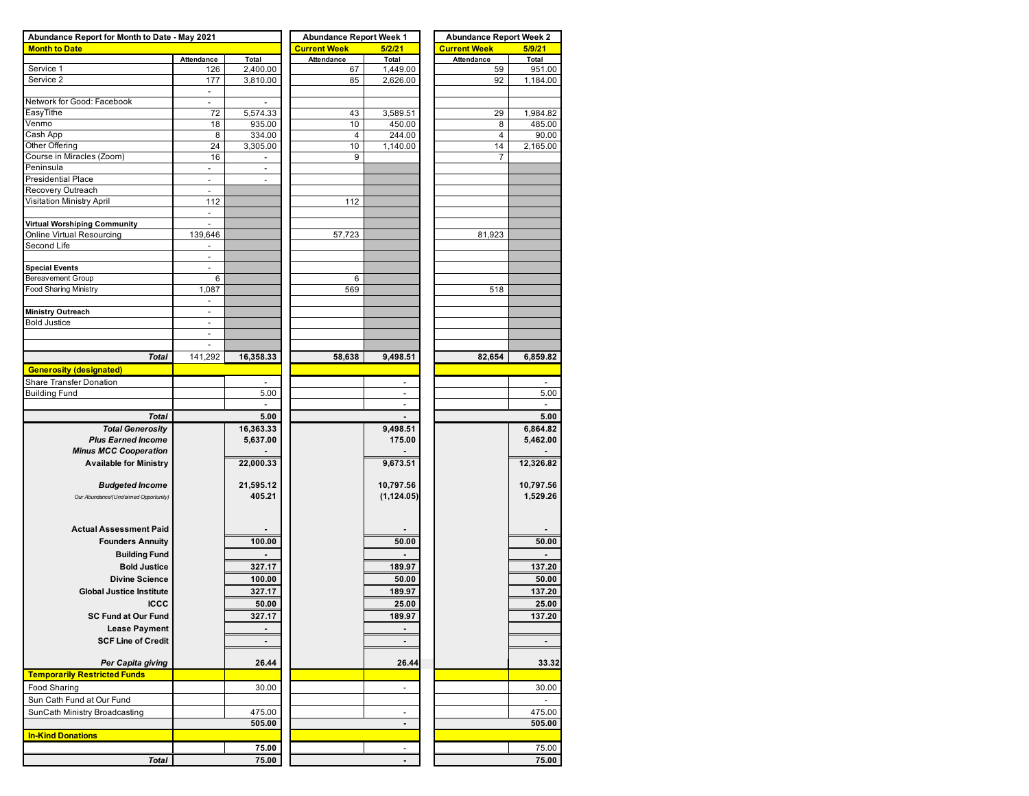| Abundance Report for Month to Date - May 2021 |                          |                          | <b>Abundance Report Week 1</b> |                          | <b>Abundance Report Week 2</b> |           |  |  |  |
|-----------------------------------------------|--------------------------|--------------------------|--------------------------------|--------------------------|--------------------------------|-----------|--|--|--|
| <b>Month to Date</b>                          |                          |                          | <b>Current Week</b>            | 5/2/21                   | <b>Current Week</b>            | 5/9/21    |  |  |  |
|                                               | Attendance               | Total                    | Attendance                     | Total                    | Attendance                     | Total     |  |  |  |
| Service 1                                     | 126                      | 2,400.00                 | 67                             | 1,449.00                 | 59                             | 951.00    |  |  |  |
| Service 2                                     | 177                      | 3,810.00                 | 85                             | 2,626.00                 | 92                             | 1,184.00  |  |  |  |
|                                               | $\overline{\phantom{a}}$ |                          |                                |                          |                                |           |  |  |  |
| Network for Good: Facebook                    | $\overline{\phantom{a}}$ |                          |                                |                          |                                |           |  |  |  |
| EasyTithe                                     | 72                       | 5,574.33                 | 43                             | 3,589.51                 | 29                             | 1,984.82  |  |  |  |
| Venmo                                         | 18                       | 935.00                   | 10                             | 450.00                   | 8                              | 485.00    |  |  |  |
| Cash App                                      | 8                        | 334.00                   | $\overline{4}$                 | 244.00                   | $\overline{4}$                 | 90.00     |  |  |  |
| Other Offering                                | 24                       | 3,305.00                 | 10                             | 1,140.00                 | 14                             | 2,165.00  |  |  |  |
| Course in Miracles (Zoom)                     | 16                       | $\overline{\phantom{a}}$ | 9                              |                          | 7                              |           |  |  |  |
| Peninsula                                     | $\blacksquare$           |                          |                                |                          |                                |           |  |  |  |
| Presidential Place                            | $\overline{\phantom{a}}$ | ٠                        |                                |                          |                                |           |  |  |  |
| Recovery Outreach                             | $\overline{\phantom{a}}$ |                          |                                |                          |                                |           |  |  |  |
| Visitation Ministry April                     | 112                      |                          | 112                            |                          |                                |           |  |  |  |
|                                               | $\blacksquare$           |                          |                                |                          |                                |           |  |  |  |
| Virtual Worshiping Community                  |                          |                          |                                |                          |                                |           |  |  |  |
| Online Virtual Resourcing                     | 139,646                  |                          | 57,723                         |                          | 81,923                         |           |  |  |  |
| Second Life                                   | $\sim$                   |                          |                                |                          |                                |           |  |  |  |
|                                               | $\sim$                   |                          |                                |                          |                                |           |  |  |  |
| <b>Special Events</b>                         | $\sim$                   |                          |                                |                          |                                |           |  |  |  |
| Bereavement Group                             | 6                        |                          | 6                              |                          |                                |           |  |  |  |
| Food Sharing Ministry                         | 1,087                    |                          | 569                            |                          | 518                            |           |  |  |  |
|                                               |                          |                          |                                |                          |                                |           |  |  |  |
| <b>Ministry Outreach</b>                      | $\overline{a}$           |                          |                                |                          |                                |           |  |  |  |
| <b>Bold Justice</b>                           | ÷,                       |                          |                                |                          |                                |           |  |  |  |
|                                               | $\overline{\phantom{a}}$ |                          |                                |                          |                                |           |  |  |  |
|                                               | $\overline{\phantom{a}}$ |                          |                                |                          |                                |           |  |  |  |
| Total                                         | 141,292                  | 16,358.33                | 58,638                         | 9,498.51                 | 82,654                         | 6,859.82  |  |  |  |
| <b>Generosity (designated)</b>                |                          |                          |                                |                          |                                |           |  |  |  |
| Share Transfer Donation                       |                          |                          |                                |                          |                                |           |  |  |  |
| <b>Building Fund</b>                          |                          | 5.00                     |                                | $\blacksquare$           |                                | 5.00      |  |  |  |
|                                               |                          | $\overline{\phantom{a}}$ |                                | $\overline{\phantom{a}}$ |                                |           |  |  |  |
|                                               |                          |                          |                                |                          |                                |           |  |  |  |
| <b>Total</b>                                  |                          | 5.00                     |                                |                          |                                | 5.00      |  |  |  |
| <b>Total Generosity</b>                       |                          | 16,363.33                |                                | 9,498.51                 |                                | 6,864.82  |  |  |  |
| <b>Plus Earned Income</b>                     |                          | 5,637.00                 |                                | 175.00                   |                                | 5,462.00  |  |  |  |
| <b>Minus MCC Cooperation</b>                  |                          |                          |                                |                          |                                |           |  |  |  |
| <b>Available for Ministry</b>                 |                          | 22,000.33                |                                | 9,673.51                 |                                | 12,326.82 |  |  |  |
|                                               |                          |                          |                                |                          |                                |           |  |  |  |
| <b>Budgeted Income</b>                        |                          | 21,595.12                |                                | 10,797.56                |                                | 10,797.56 |  |  |  |
| Our Abundance/(Unclaimed Opportunity)         |                          | 405.21                   |                                | (1, 124.05)              |                                | 1,529.26  |  |  |  |
|                                               |                          |                          |                                |                          |                                |           |  |  |  |
|                                               |                          |                          |                                |                          |                                |           |  |  |  |
| <b>Actual Assessment Paid</b>                 |                          |                          |                                |                          |                                |           |  |  |  |
| <b>Founders Annuity</b>                       |                          | 100.00                   |                                | 50.00                    |                                | 50.00     |  |  |  |
| <b>Building Fund</b>                          |                          |                          |                                |                          |                                |           |  |  |  |
| <b>Bold Justice</b>                           |                          | 327.17                   |                                | 189.97                   |                                | 137.20    |  |  |  |
| <b>Divine Science</b>                         |                          | 100.00                   |                                | 50.00                    |                                | 50.00     |  |  |  |
| <b>Global Justice Institute</b>               |                          |                          |                                |                          |                                |           |  |  |  |
|                                               |                          | 327.17                   |                                | 189.97                   |                                | 137.20    |  |  |  |
| <b>ICCC</b>                                   |                          | 50.00                    |                                | 25.00                    |                                | 25.00     |  |  |  |
| <b>SC Fund at Our Fund</b>                    |                          | 327.17                   |                                | 189.97                   |                                | 137.20    |  |  |  |
| <b>Lease Payment</b>                          |                          |                          |                                |                          |                                |           |  |  |  |
| <b>SCF Line of Credit</b>                     |                          |                          |                                | $\blacksquare$           |                                | ٠         |  |  |  |
|                                               |                          |                          |                                |                          |                                |           |  |  |  |
| Per Capita giving                             |                          | 26.44                    |                                | 26.44                    |                                | 33.32     |  |  |  |
| <b>Temporarily Restricted Funds</b>           |                          |                          |                                |                          |                                |           |  |  |  |
|                                               |                          | 30.00                    |                                | $\overline{\phantom{a}}$ |                                | 30.00     |  |  |  |
|                                               |                          |                          |                                |                          |                                |           |  |  |  |
| Food Sharing                                  |                          |                          |                                |                          |                                |           |  |  |  |
| Sun Cath Fund at Our Fund                     |                          |                          |                                |                          |                                |           |  |  |  |
| SunCath Ministry Broadcasting                 |                          | 475.00                   |                                | $\overline{\phantom{a}}$ |                                | 475.00    |  |  |  |
|                                               |                          | 505.00                   |                                | $\overline{\phantom{a}}$ |                                | 505.00    |  |  |  |
| <b>In-Kind Donations</b>                      |                          |                          |                                |                          |                                |           |  |  |  |
|                                               |                          | 75.00                    |                                |                          |                                | 75.00     |  |  |  |